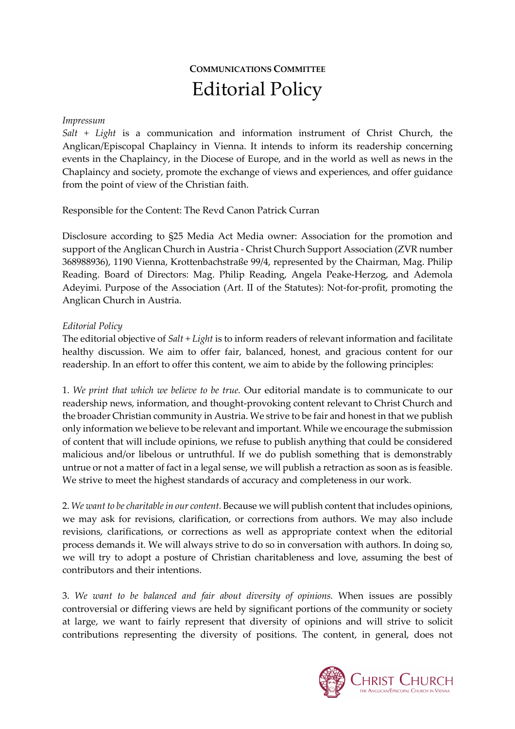# **COMMUNICATIONS COMMITTEE** Editorial Policy

### *Impressum*

*Salt + Light* is a communication and information instrument of Christ Church, the Anglican/Episcopal Chaplaincy in Vienna. It intends to inform its readership concerning events in the Chaplaincy, in the Diocese of Europe, and in the world as well as news in the Chaplaincy and society, promote the exchange of views and experiences, and offer guidance from the point of view of the Christian faith.

### Responsible for the Content: The Revd Canon Patrick Curran

Disclosure according to §25 Media Act Media owner: Association for the promotion and support of the Anglican Church in Austria - Christ Church Support Association (ZVR number 368988936), 1190 Vienna, Krottenbachstraße 99/4, represented by the Chairman, Mag. Philip Reading. Board of Directors: Mag. Philip Reading, Angela Peake-Herzog, and Ademola Adeyimi. Purpose of the Association (Art. II of the Statutes): Not-for-profit, promoting the Anglican Church in Austria.

#### *Editorial Policy*

The editorial objective of *Salt + Light* is to inform readers of relevant information and facilitate healthy discussion. We aim to offer fair, balanced, honest, and gracious content for our readership. In an effort to offer this content, we aim to abide by the following principles:

1. *We print that which we believe to be true.* Our editorial mandate is to communicate to our readership news, information, and thought-provoking content relevant to Christ Church and the broader Christian community in Austria. We strive to be fair and honest in that we publish only information we believe to be relevant and important. While we encourage the submission of content that will include opinions, we refuse to publish anything that could be considered malicious and/or libelous or untruthful. If we do publish something that is demonstrably untrue or not a matter of fact in a legal sense, we will publish a retraction as soon as is feasible. We strive to meet the highest standards of accuracy and completeness in our work.

2. *We want to be charitable in our content.* Because we will publish content that includes opinions, we may ask for revisions, clarification, or corrections from authors. We may also include revisions, clarifications, or corrections as well as appropriate context when the editorial process demands it. We will always strive to do so in conversation with authors. In doing so, we will try to adopt a posture of Christian charitableness and love, assuming the best of contributors and their intentions.

3. *We want to be balanced and fair about diversity of opinions.* When issues are possibly controversial or differing views are held by significant portions of the community or society at large, we want to fairly represent that diversity of opinions and will strive to solicit contributions representing the diversity of positions. The content, in general, does not